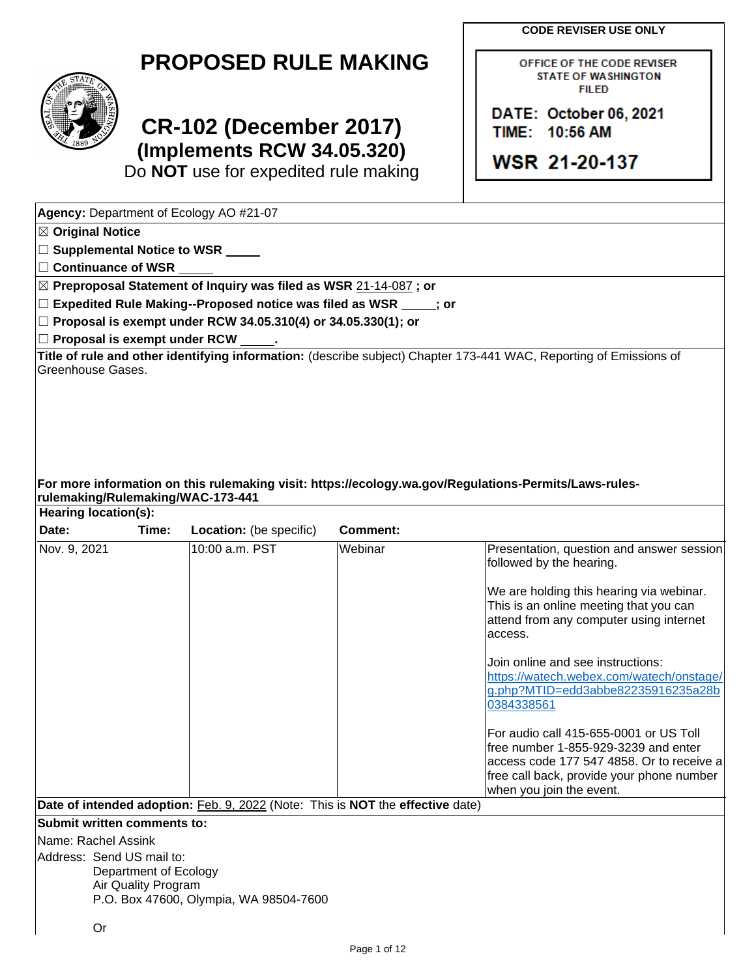**CODE REVISER USE ONLY**

OFFICE OF THE CODE REVISER **STATE OF WASHINGTON FILED** 

DATE: October 06, 2021

TIME: 10:56 AM

**WSR 21-20-137** 

| <b>PROPOSED RULE MAKING</b> |  |  |  |  |  |  |  |  |  |
|-----------------------------|--|--|--|--|--|--|--|--|--|
|-----------------------------|--|--|--|--|--|--|--|--|--|



# **CR-102 (December 2017) (Implements RCW 34.05.320)**

Do **NOT** use for expedited rule making

**Agency:** Department of Ecology AO #21-07 ☒ **Original Notice** ☐ **Supplemental Notice to WSR** ☐ **Continuance of WSR** ☒ **Preproposal Statement of Inquiry was filed as WSR** 21-14-087 **; or** ☐ **Expedited Rule Making--Proposed notice was filed as WSR ; or** ☐ **Proposal is exempt under RCW 34.05.310(4) or 34.05.330(1); or** ☐ **Proposal is exempt under RCW . Title of rule and other identifying information:** (describe subject) Chapter 173-441 WAC, Reporting of Emissions of Greenhouse Gases. **For more information on this rulemaking visit: https://ecology.wa.gov/Regulations-Permits/Laws-rulesrulemaking/Rulemaking/WAC-173-441 Hearing location(s): Date: Time: Location:** (be specific) **Comment:** Nov. 9, 2021 10:00 a.m. PST Webinar Presentation, question and answer session followed by the hearing. We are holding this hearing via webinar. This is an online meeting that you can attend from any computer using internet access. Join online and see instructions: [https://watech.webex.com/watech/onstage/](https://watech.webex.com/watech/onstage/g.php?MTID=edd3abbe82235916235a28b0384338561) [g.php?MTID=edd3abbe82235916235a28b](https://watech.webex.com/watech/onstage/g.php?MTID=edd3abbe82235916235a28b0384338561) [0384338561](https://watech.webex.com/watech/onstage/g.php?MTID=edd3abbe82235916235a28b0384338561) For audio call 415-655-0001 or US Toll free number 1-855-929-3239 and enter access code 177 547 4858. Or to receive a free call back, provide your phone number when you join the event. **Date of intended adoption:** Feb. 9, 2022 (Note: This is **NOT** the **effective** date) **Submit written comments to:** Name: Rachel Assink Address: Send US mail to: Department of Ecology Air Quality Program P.O. Box 47600, Olympia, WA 98504-7600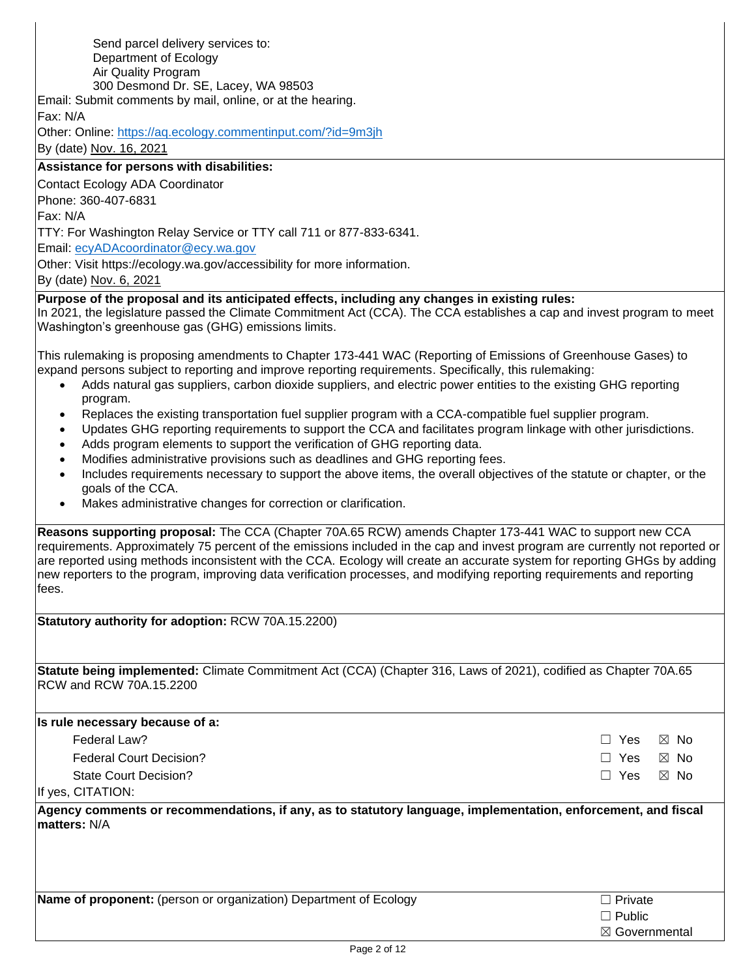| Send parcel delivery services to:                                                                                                                                                                                                                                                                                                                                                                                                                                                                        |                              |  |  |  |
|----------------------------------------------------------------------------------------------------------------------------------------------------------------------------------------------------------------------------------------------------------------------------------------------------------------------------------------------------------------------------------------------------------------------------------------------------------------------------------------------------------|------------------------------|--|--|--|
| Department of Ecology                                                                                                                                                                                                                                                                                                                                                                                                                                                                                    |                              |  |  |  |
| Air Quality Program                                                                                                                                                                                                                                                                                                                                                                                                                                                                                      |                              |  |  |  |
| 300 Desmond Dr. SE, Lacey, WA 98503                                                                                                                                                                                                                                                                                                                                                                                                                                                                      |                              |  |  |  |
| Email: Submit comments by mail, online, or at the hearing.                                                                                                                                                                                                                                                                                                                                                                                                                                               |                              |  |  |  |
| Fax: N/A                                                                                                                                                                                                                                                                                                                                                                                                                                                                                                 |                              |  |  |  |
| Other: Online: https://aq.ecology.commentinput.com/?id=9m3jh                                                                                                                                                                                                                                                                                                                                                                                                                                             |                              |  |  |  |
| By (date) Nov. 16, 2021                                                                                                                                                                                                                                                                                                                                                                                                                                                                                  |                              |  |  |  |
| Assistance for persons with disabilities:                                                                                                                                                                                                                                                                                                                                                                                                                                                                |                              |  |  |  |
| Contact Ecology ADA Coordinator                                                                                                                                                                                                                                                                                                                                                                                                                                                                          |                              |  |  |  |
| Phone: 360-407-6831                                                                                                                                                                                                                                                                                                                                                                                                                                                                                      |                              |  |  |  |
| Fax: N/A                                                                                                                                                                                                                                                                                                                                                                                                                                                                                                 |                              |  |  |  |
| TTY: For Washington Relay Service or TTY call 711 or 877-833-6341.                                                                                                                                                                                                                                                                                                                                                                                                                                       |                              |  |  |  |
| Email: ecyADAcoordinator@ecy.wa.gov                                                                                                                                                                                                                                                                                                                                                                                                                                                                      |                              |  |  |  |
| Other: Visit https://ecology.wa.gov/accessibility for more information.                                                                                                                                                                                                                                                                                                                                                                                                                                  |                              |  |  |  |
| By (date) Nov. 6, 2021                                                                                                                                                                                                                                                                                                                                                                                                                                                                                   |                              |  |  |  |
| Purpose of the proposal and its anticipated effects, including any changes in existing rules:                                                                                                                                                                                                                                                                                                                                                                                                            |                              |  |  |  |
| In 2021, the legislature passed the Climate Commitment Act (CCA). The CCA establishes a cap and invest program to meet<br>Washington's greenhouse gas (GHG) emissions limits.                                                                                                                                                                                                                                                                                                                            |                              |  |  |  |
| This rulemaking is proposing amendments to Chapter 173-441 WAC (Reporting of Emissions of Greenhouse Gases) to<br>expand persons subject to reporting and improve reporting requirements. Specifically, this rulemaking:<br>Adds natural gas suppliers, carbon dioxide suppliers, and electric power entities to the existing GHG reporting<br>$\bullet$                                                                                                                                                 |                              |  |  |  |
| program.<br>Replaces the existing transportation fuel supplier program with a CCA-compatible fuel supplier program.<br>$\bullet$<br>Updates GHG reporting requirements to support the CCA and facilitates program linkage with other jurisdictions.<br>$\bullet$<br>Adds program elements to support the verification of GHG reporting data.<br>$\bullet$                                                                                                                                                |                              |  |  |  |
| Modifies administrative provisions such as deadlines and GHG reporting fees.<br>$\bullet$<br>Includes requirements necessary to support the above items, the overall objectives of the statute or chapter, or the<br>$\bullet$<br>goals of the CCA.                                                                                                                                                                                                                                                      |                              |  |  |  |
| Makes administrative changes for correction or clarification.<br>$\bullet$                                                                                                                                                                                                                                                                                                                                                                                                                               |                              |  |  |  |
| Reasons supporting proposal: The CCA (Chapter 70A.65 RCW) amends Chapter 173-441 WAC to support new CCA<br>requirements. Approximately 75 percent of the emissions included in the cap and invest program are currently not reported or<br>are reported using methods inconsistent with the CCA. Ecology will create an accurate system for reporting GHGs by adding<br>new reporters to the program, improving data verification processes, and modifying reporting requirements and reporting<br>fees. |                              |  |  |  |
| Statutory authority for adoption: RCW 70A.15.2200)                                                                                                                                                                                                                                                                                                                                                                                                                                                       |                              |  |  |  |
|                                                                                                                                                                                                                                                                                                                                                                                                                                                                                                          |                              |  |  |  |
| Statute being implemented: Climate Commitment Act (CCA) (Chapter 316, Laws of 2021), codified as Chapter 70A.65<br>RCW and RCW 70A.15.2200                                                                                                                                                                                                                                                                                                                                                               |                              |  |  |  |
| Is rule necessary because of a:                                                                                                                                                                                                                                                                                                                                                                                                                                                                          |                              |  |  |  |
| Federal Law?                                                                                                                                                                                                                                                                                                                                                                                                                                                                                             | $\Box$ Yes<br>$\boxtimes$ No |  |  |  |
| <b>Federal Court Decision?</b>                                                                                                                                                                                                                                                                                                                                                                                                                                                                           | $\Box$ Yes<br>$\boxtimes$ No |  |  |  |
| <b>State Court Decision?</b>                                                                                                                                                                                                                                                                                                                                                                                                                                                                             | $\Box$ Yes<br>$\boxtimes$ No |  |  |  |
| If yes, CITATION:                                                                                                                                                                                                                                                                                                                                                                                                                                                                                        |                              |  |  |  |
| Agency comments or recommendations, if any, as to statutory language, implementation, enforcement, and fiscal                                                                                                                                                                                                                                                                                                                                                                                            |                              |  |  |  |
| matters: N/A                                                                                                                                                                                                                                                                                                                                                                                                                                                                                             |                              |  |  |  |
| Name of proponent: (person or organization) Department of Ecology                                                                                                                                                                                                                                                                                                                                                                                                                                        | $\Box$ Private               |  |  |  |
|                                                                                                                                                                                                                                                                                                                                                                                                                                                                                                          | $\Box$ Public                |  |  |  |
|                                                                                                                                                                                                                                                                                                                                                                                                                                                                                                          | ⊠ Governmental               |  |  |  |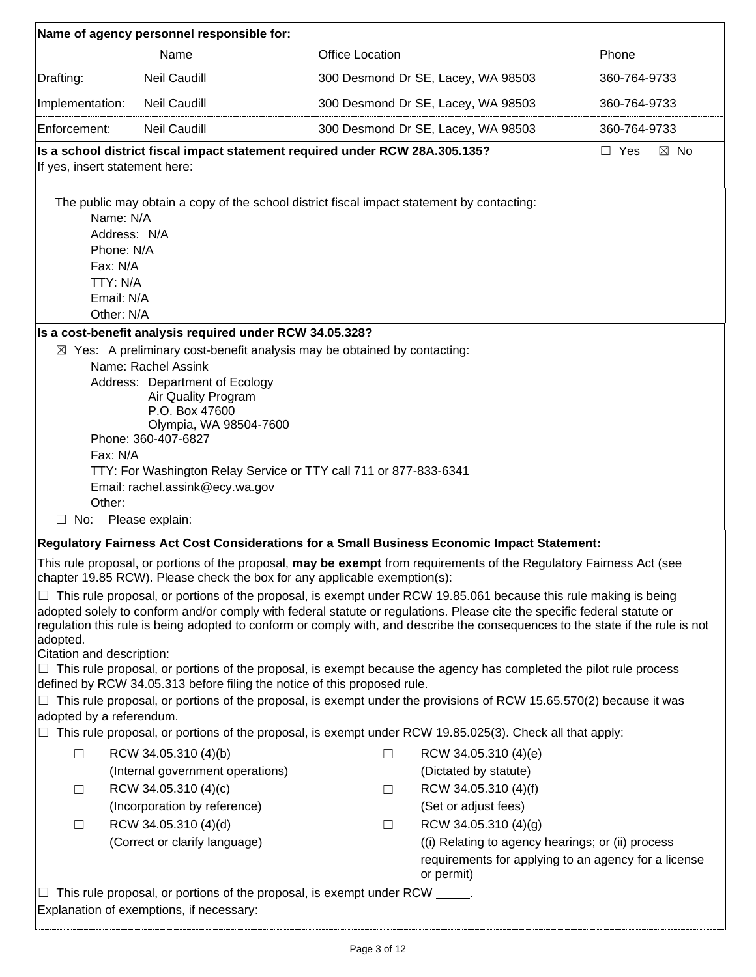| Name of agency personnel responsible for:                                                   |                                                                                                                                                                                                                                                                                                                                                                                                                                                                                                                                                                                                                                                                                                               |                        |                                                                                                                         |                              |  |
|---------------------------------------------------------------------------------------------|---------------------------------------------------------------------------------------------------------------------------------------------------------------------------------------------------------------------------------------------------------------------------------------------------------------------------------------------------------------------------------------------------------------------------------------------------------------------------------------------------------------------------------------------------------------------------------------------------------------------------------------------------------------------------------------------------------------|------------------------|-------------------------------------------------------------------------------------------------------------------------|------------------------------|--|
|                                                                                             | Name                                                                                                                                                                                                                                                                                                                                                                                                                                                                                                                                                                                                                                                                                                          | <b>Office Location</b> |                                                                                                                         | Phone                        |  |
| Drafting:                                                                                   | <b>Neil Caudill</b>                                                                                                                                                                                                                                                                                                                                                                                                                                                                                                                                                                                                                                                                                           |                        | 300 Desmond Dr SE, Lacey, WA 98503                                                                                      | 360-764-9733                 |  |
| Implementation:                                                                             | Neil Caudill                                                                                                                                                                                                                                                                                                                                                                                                                                                                                                                                                                                                                                                                                                  |                        | 300 Desmond Dr SE, Lacey, WA 98503                                                                                      | 360-764-9733                 |  |
| Enforcement:                                                                                | <b>Neil Caudill</b>                                                                                                                                                                                                                                                                                                                                                                                                                                                                                                                                                                                                                                                                                           |                        | 300 Desmond Dr SE, Lacey, WA 98503                                                                                      | 360-764-9733                 |  |
| If yes, insert statement here:                                                              | Is a school district fiscal impact statement required under RCW 28A.305.135?                                                                                                                                                                                                                                                                                                                                                                                                                                                                                                                                                                                                                                  |                        |                                                                                                                         | $\Box$ Yes<br>$\boxtimes$ No |  |
| Name: N/A<br>Address: N/A<br>Phone: N/A<br>Fax: N/A<br>TTY: N/A<br>Email: N/A<br>Other: N/A | The public may obtain a copy of the school district fiscal impact statement by contacting:                                                                                                                                                                                                                                                                                                                                                                                                                                                                                                                                                                                                                    |                        |                                                                                                                         |                              |  |
|                                                                                             | Is a cost-benefit analysis required under RCW 34.05.328?                                                                                                                                                                                                                                                                                                                                                                                                                                                                                                                                                                                                                                                      |                        |                                                                                                                         |                              |  |
| Fax: N/A<br>Other:<br>$\Box$ No:                                                            | $\boxtimes$ Yes: A preliminary cost-benefit analysis may be obtained by contacting:<br>Name: Rachel Assink<br>Address: Department of Ecology<br>Air Quality Program<br>P.O. Box 47600<br>Olympia, WA 98504-7600<br>Phone: 360-407-6827<br>TTY: For Washington Relay Service or TTY call 711 or 877-833-6341<br>Email: rachel.assink@ecy.wa.gov<br>Please explain:                                                                                                                                                                                                                                                                                                                                             |                        |                                                                                                                         |                              |  |
|                                                                                             | Regulatory Fairness Act Cost Considerations for a Small Business Economic Impact Statement:                                                                                                                                                                                                                                                                                                                                                                                                                                                                                                                                                                                                                   |                        |                                                                                                                         |                              |  |
|                                                                                             | This rule proposal, or portions of the proposal, may be exempt from requirements of the Regulatory Fairness Act (see<br>chapter 19.85 RCW). Please check the box for any applicable exemption(s):                                                                                                                                                                                                                                                                                                                                                                                                                                                                                                             |                        |                                                                                                                         |                              |  |
| adopted.<br>Citation and description:                                                       | $\Box$ This rule proposal, or portions of the proposal, is exempt under RCW 19.85.061 because this rule making is being<br>adopted solely to conform and/or comply with federal statute or regulations. Please cite the specific federal statute or<br>regulation this rule is being adopted to conform or comply with, and describe the consequences to the state if the rule is not<br>This rule proposal, or portions of the proposal, is exempt because the agency has completed the pilot rule process<br>defined by RCW 34.05.313 before filing the notice of this proposed rule.<br>This rule proposal, or portions of the proposal, is exempt under the provisions of RCW 15.65.570(2) because it was |                        |                                                                                                                         |                              |  |
| adopted by a referendum.                                                                    |                                                                                                                                                                                                                                                                                                                                                                                                                                                                                                                                                                                                                                                                                                               |                        |                                                                                                                         |                              |  |
|                                                                                             | This rule proposal, or portions of the proposal, is exempt under RCW 19.85.025(3). Check all that apply:                                                                                                                                                                                                                                                                                                                                                                                                                                                                                                                                                                                                      |                        |                                                                                                                         |                              |  |
| $\Box$                                                                                      | RCW 34.05.310 (4)(b)                                                                                                                                                                                                                                                                                                                                                                                                                                                                                                                                                                                                                                                                                          | □                      | RCW 34.05.310 (4)(e)                                                                                                    |                              |  |
|                                                                                             | (Internal government operations)                                                                                                                                                                                                                                                                                                                                                                                                                                                                                                                                                                                                                                                                              |                        | (Dictated by statute)                                                                                                   |                              |  |
| ш                                                                                           | RCW 34.05.310 (4)(c)                                                                                                                                                                                                                                                                                                                                                                                                                                                                                                                                                                                                                                                                                          | ⊔                      | RCW 34.05.310 (4)(f)                                                                                                    |                              |  |
| $\Box$                                                                                      | (Incorporation by reference)<br>RCW 34.05.310 (4)(d)                                                                                                                                                                                                                                                                                                                                                                                                                                                                                                                                                                                                                                                          |                        | (Set or adjust fees)<br>RCW 34.05.310 (4)(g)                                                                            |                              |  |
|                                                                                             | (Correct or clarify language)                                                                                                                                                                                                                                                                                                                                                                                                                                                                                                                                                                                                                                                                                 | Ш                      | ((i) Relating to agency hearings; or (ii) process<br>requirements for applying to an agency for a license<br>or permit) |                              |  |
| ப                                                                                           | This rule proposal, or portions of the proposal, is exempt under RCW _____.<br>Explanation of exemptions, if necessary:                                                                                                                                                                                                                                                                                                                                                                                                                                                                                                                                                                                       |                        |                                                                                                                         |                              |  |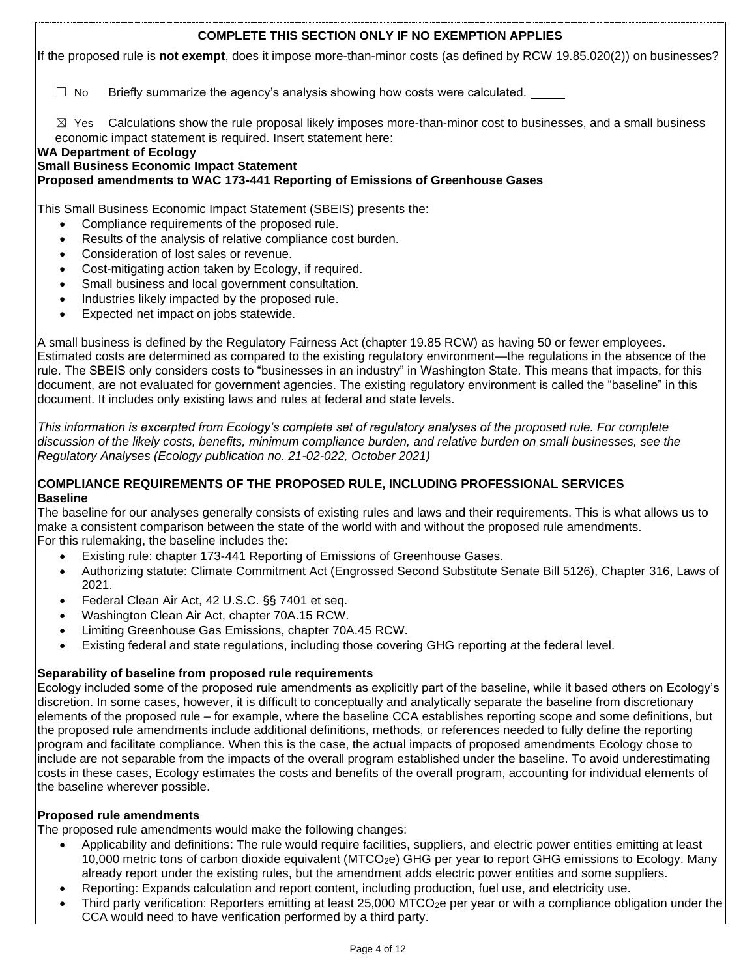## **COMPLETE THIS SECTION ONLY IF NO EXEMPTION APPLIES**

If the proposed rule is **not exempt**, does it impose more-than-minor costs (as defined by RCW 19.85.020(2)) on businesses?

 $\Box$  No Briefly summarize the agency's analysis showing how costs were calculated.

 $\boxtimes$  Yes Calculations show the rule proposal likely imposes more-than-minor cost to businesses, and a small business economic impact statement is required. Insert statement here:

### **WA Department of Ecology**

## **Small Business Economic Impact Statement**

## **Proposed amendments to WAC 173-441 Reporting of Emissions of Greenhouse Gases**

This Small Business Economic Impact Statement (SBEIS) presents the:

- Compliance requirements of the proposed rule.
- Results of the analysis of relative compliance cost burden.
- Consideration of lost sales or revenue.
- Cost-mitigating action taken by Ecology, if required.
- Small business and local government consultation.
- Industries likely impacted by the proposed rule.
- Expected net impact on jobs statewide.

A small business is defined by the Regulatory Fairness Act (chapter 19.85 RCW) as having 50 or fewer employees. Estimated costs are determined as compared to the existing regulatory environment—the regulations in the absence of the rule. The SBEIS only considers costs to "businesses in an industry" in Washington State. This means that impacts, for this document, are not evaluated for government agencies. The existing regulatory environment is called the "baseline" in this document. It includes only existing laws and rules at federal and state levels.

*This information is excerpted from Ecology's complete set of regulatory analyses of the proposed rule. For complete discussion of the likely costs, benefits, minimum compliance burden, and relative burden on small businesses, see the Regulatory Analyses (Ecology publication no. 21-02-022, October 2021)*

## **COMPLIANCE REQUIREMENTS OF THE PROPOSED RULE, INCLUDING PROFESSIONAL SERVICES Baseline**

The baseline for our analyses generally consists of existing rules and laws and their requirements. This is what allows us to make a consistent comparison between the state of the world with and without the proposed rule amendments. For this rulemaking, the baseline includes the:

- Existing rule: chapter 173-441 Reporting of Emissions of Greenhouse Gases.
- Authorizing statute: Climate Commitment Act (Engrossed Second Substitute Senate Bill 5126), Chapter 316, Laws of 2021.
- Federal Clean Air Act, 42 U.S.C. §§ 7401 et seq.
- Washington Clean Air Act, chapter 70A.15 RCW.
- Limiting Greenhouse Gas Emissions, chapter 70A.45 RCW.
- Existing federal and state regulations, including those covering GHG reporting at the federal level.

### **Separability of baseline from proposed rule requirements**

Ecology included some of the proposed rule amendments as explicitly part of the baseline, while it based others on Ecology's discretion. In some cases, however, it is difficult to conceptually and analytically separate the baseline from discretionary elements of the proposed rule – for example, where the baseline CCA establishes reporting scope and some definitions, but the proposed rule amendments include additional definitions, methods, or references needed to fully define the reporting program and facilitate compliance. When this is the case, the actual impacts of proposed amendments Ecology chose to include are not separable from the impacts of the overall program established under the baseline. To avoid underestimating costs in these cases, Ecology estimates the costs and benefits of the overall program, accounting for individual elements of the baseline wherever possible.

## **Proposed rule amendments**

The proposed rule amendments would make the following changes:

- Applicability and definitions: The rule would require facilities, suppliers, and electric power entities emitting at least 10,000 metric tons of carbon dioxide equivalent (MTCO2e) GHG per year to report GHG emissions to Ecology. Many already report under the existing rules, but the amendment adds electric power entities and some suppliers.
- Reporting: Expands calculation and report content, including production, fuel use, and electricity use.
- Third party verification: Reporters emitting at least 25,000 MTCO<sub>2</sub>e per year or with a compliance obligation under the CCA would need to have verification performed by a third party.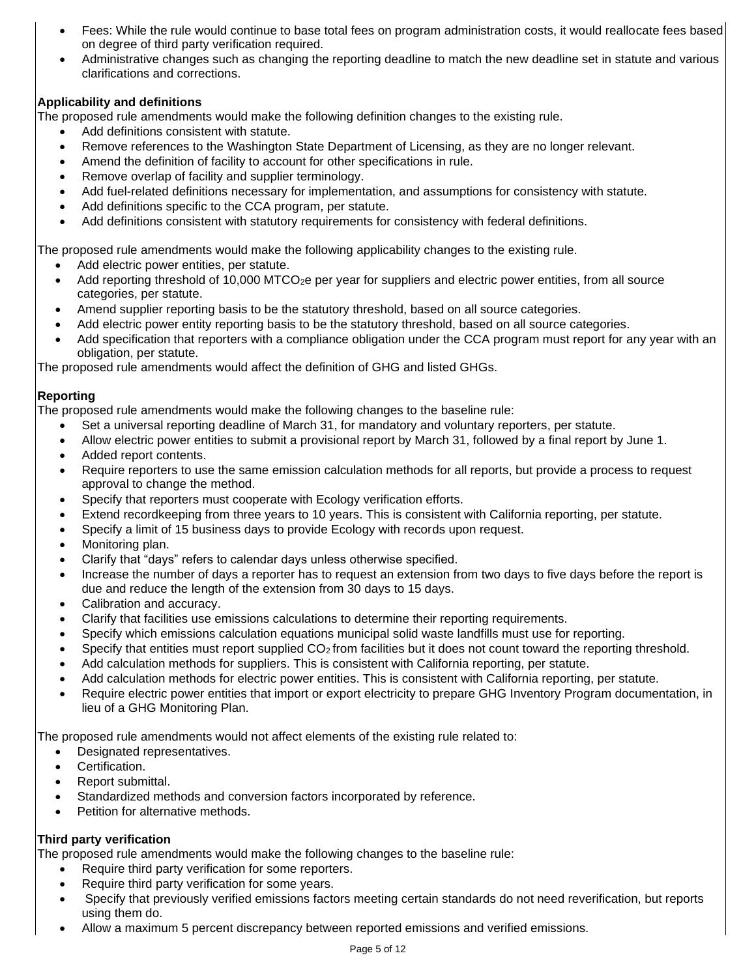- Fees: While the rule would continue to base total fees on program administration costs, it would reallocate fees based on degree of third party verification required.
- Administrative changes such as changing the reporting deadline to match the new deadline set in statute and various clarifications and corrections.

## **Applicability and definitions**

The proposed rule amendments would make the following definition changes to the existing rule.

- Add definitions consistent with statute.
- Remove references to the Washington State Department of Licensing, as they are no longer relevant.
- Amend the definition of facility to account for other specifications in rule.
- Remove overlap of facility and supplier terminology.
- Add fuel-related definitions necessary for implementation, and assumptions for consistency with statute.
- Add definitions specific to the CCA program, per statute.
- Add definitions consistent with statutory requirements for consistency with federal definitions.

The proposed rule amendments would make the following applicability changes to the existing rule.

- Add electric power entities, per statute.
- Add reporting threshold of 10,000 MTCO<sub>2</sub>e per year for suppliers and electric power entities, from all source categories, per statute.
- Amend supplier reporting basis to be the statutory threshold, based on all source categories.
- Add electric power entity reporting basis to be the statutory threshold, based on all source categories.
- Add specification that reporters with a compliance obligation under the CCA program must report for any year with an obligation, per statute.

The proposed rule amendments would affect the definition of GHG and listed GHGs.

## **Reporting**

The proposed rule amendments would make the following changes to the baseline rule:

- Set a universal reporting deadline of March 31, for mandatory and voluntary reporters, per statute.
- Allow electric power entities to submit a provisional report by March 31, followed by a final report by June 1.
- Added report contents.
- Require reporters to use the same emission calculation methods for all reports, but provide a process to request approval to change the method.
- Specify that reporters must cooperate with Ecology verification efforts.
- Extend recordkeeping from three years to 10 years. This is consistent with California reporting, per statute.
- Specify a limit of 15 business days to provide Ecology with records upon request.
- Monitoring plan.
- Clarify that "days" refers to calendar days unless otherwise specified.
- Increase the number of days a reporter has to request an extension from two days to five days before the report is due and reduce the length of the extension from 30 days to 15 days.
- Calibration and accuracy.
- Clarify that facilities use emissions calculations to determine their reporting requirements.
- Specify which emissions calculation equations municipal solid waste landfills must use for reporting.
- Specify that entities must report supplied  $CO<sub>2</sub>$  from facilities but it does not count toward the reporting threshold.
- Add calculation methods for suppliers. This is consistent with California reporting, per statute.
- Add calculation methods for electric power entities. This is consistent with California reporting, per statute.
- Require electric power entities that import or export electricity to prepare GHG Inventory Program documentation, in lieu of a GHG Monitoring Plan.

The proposed rule amendments would not affect elements of the existing rule related to:

- Designated representatives.
- Certification.
- Report submittal.
- Standardized methods and conversion factors incorporated by reference.
- Petition for alternative methods.

## **Third party verification**

The proposed rule amendments would make the following changes to the baseline rule:

- Require third party verification for some reporters.
- Require third party verification for some years.
- Specify that previously verified emissions factors meeting certain standards do not need reverification, but reports using them do.
- Allow a maximum 5 percent discrepancy between reported emissions and verified emissions.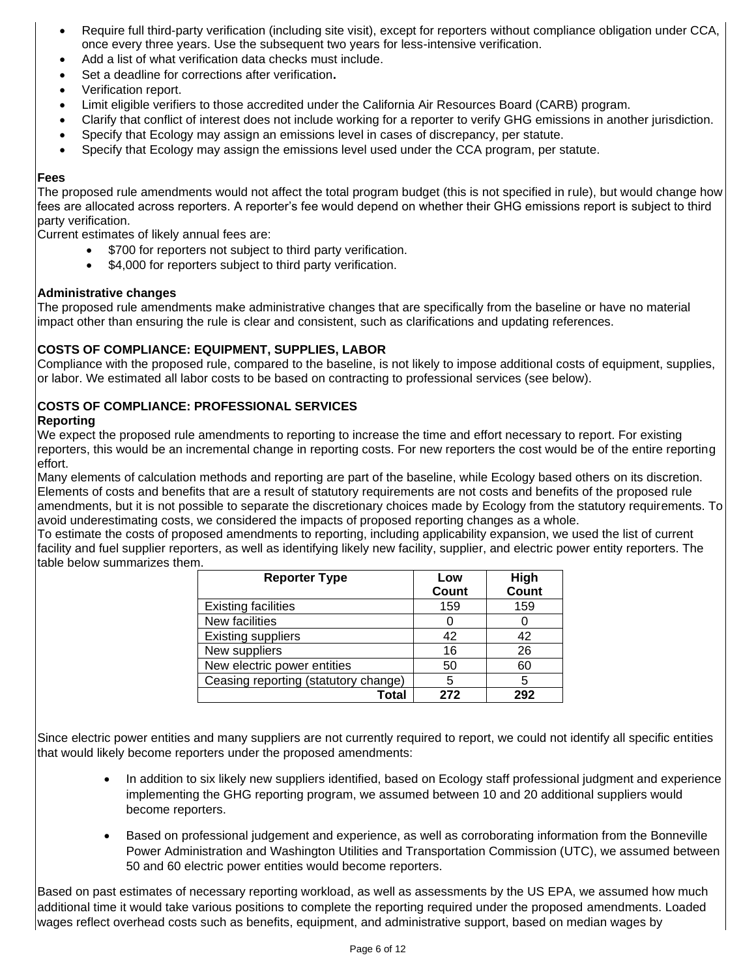- Require full third-party verification (including site visit), except for reporters without compliance obligation under CCA, once every three years. Use the subsequent two years for less-intensive verification.
- Add a list of what verification data checks must include.
- Set a deadline for corrections after verification**.**
- Verification report.
- Limit eligible verifiers to those accredited under the California Air Resources Board (CARB) program.
- Clarify that conflict of interest does not include working for a reporter to verify GHG emissions in another jurisdiction.
- Specify that Ecology may assign an emissions level in cases of discrepancy, per statute.
- Specify that Ecology may assign the emissions level used under the CCA program, per statute.

## **Fees**

The proposed rule amendments would not affect the total program budget (this is not specified in rule), but would change how fees are allocated across reporters. A reporter's fee would depend on whether their GHG emissions report is subject to third party verification.

Current estimates of likely annual fees are:

- \$700 for reporters not subject to third party verification.
- \$4,000 for reporters subject to third party verification.

## **Administrative changes**

The proposed rule amendments make administrative changes that are specifically from the baseline or have no material impact other than ensuring the rule is clear and consistent, such as clarifications and updating references.

## **COSTS OF COMPLIANCE: EQUIPMENT, SUPPLIES, LABOR**

Compliance with the proposed rule, compared to the baseline, is not likely to impose additional costs of equipment, supplies, or labor. We estimated all labor costs to be based on contracting to professional services (see below).

# **COSTS OF COMPLIANCE: PROFESSIONAL SERVICES**

## **Reporting**

We expect the proposed rule amendments to reporting to increase the time and effort necessary to report. For existing reporters, this would be an incremental change in reporting costs. For new reporters the cost would be of the entire reporting effort.

Many elements of calculation methods and reporting are part of the baseline, while Ecology based others on its discretion. Elements of costs and benefits that are a result of statutory requirements are not costs and benefits of the proposed rule amendments, but it is not possible to separate the discretionary choices made by Ecology from the statutory requirements. To avoid underestimating costs, we considered the impacts of proposed reporting changes as a whole.

To estimate the costs of proposed amendments to reporting, including applicability expansion, we used the list of current facility and fuel supplier reporters, as well as identifying likely new facility, supplier, and electric power entity reporters. The table below summarizes them.

| <b>Reporter Type</b>                 | Low   | High         |
|--------------------------------------|-------|--------------|
|                                      | Count | <b>Count</b> |
| <b>Existing facilities</b>           | 159   | 159          |
| New facilities                       |       |              |
| <b>Existing suppliers</b>            | 42    | 42           |
| New suppliers                        | 16    | 26           |
| New electric power entities          | 50    | 60           |
| Ceasing reporting (statutory change) | 5     | 5            |
| Total                                | 272   | 292          |

Since electric power entities and many suppliers are not currently required to report, we could not identify all specific entities that would likely become reporters under the proposed amendments:

- In addition to six likely new suppliers identified, based on Ecology staff professional judgment and experience implementing the GHG reporting program, we assumed between 10 and 20 additional suppliers would become reporters.
- Based on professional judgement and experience, as well as corroborating information from the Bonneville Power Administration and Washington Utilities and Transportation Commission (UTC), we assumed between 50 and 60 electric power entities would become reporters.

Based on past estimates of necessary reporting workload, as well as assessments by the US EPA, we assumed how much additional time it would take various positions to complete the reporting required under the proposed amendments. Loaded wages reflect overhead costs such as benefits, equipment, and administrative support, based on median wages by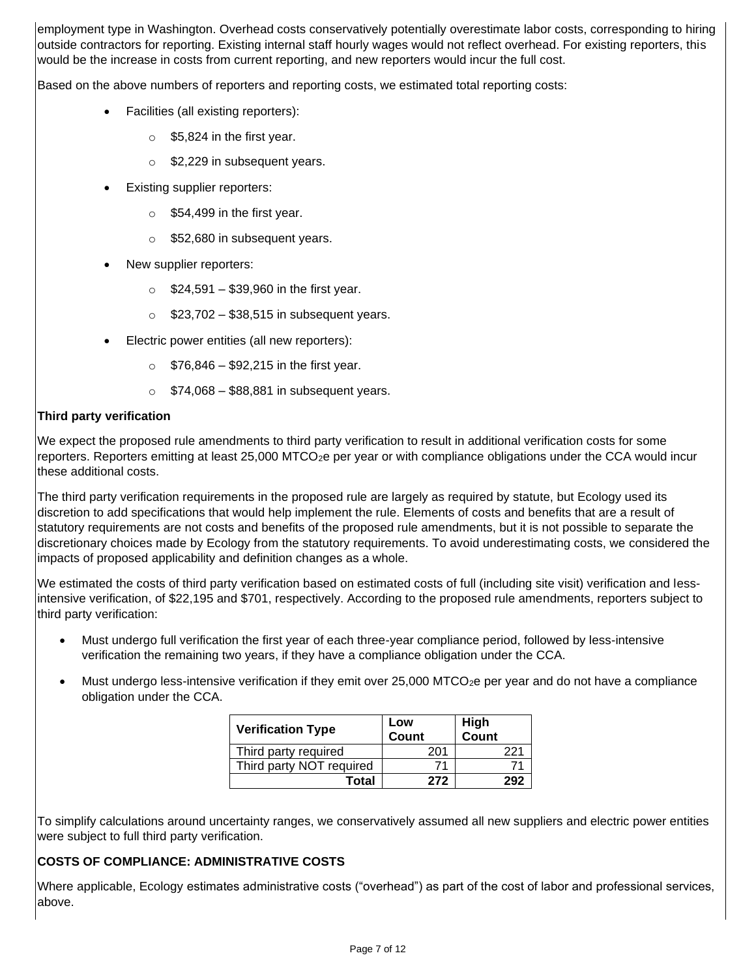employment type in Washington. Overhead costs conservatively potentially overestimate labor costs, corresponding to hiring outside contractors for reporting. Existing internal staff hourly wages would not reflect overhead. For existing reporters, this would be the increase in costs from current reporting, and new reporters would incur the full cost.

Based on the above numbers of reporters and reporting costs, we estimated total reporting costs:

- Facilities (all existing reporters):
	- $\circ$  \$5,824 in the first year.
	- o \$2,229 in subsequent years.
- **Existing supplier reporters:** 
	- $\circ$  \$54,499 in the first year.
	- o \$52,680 in subsequent years.
- New supplier reporters:
	- $\circ$  \$24,591 \$39,960 in the first year.
	- $\degree$  \$23,702 \$38,515 in subsequent years.
- Electric power entities (all new reporters):
	- $\circ$  \$76,846 \$92,215 in the first year.
	- $\circ$  \$74,068 \$88,881 in subsequent years.

## **Third party verification**

We expect the proposed rule amendments to third party verification to result in additional verification costs for some reporters. Reporters emitting at least 25,000 MTCO<sub>2</sub>e per year or with compliance obligations under the CCA would incur these additional costs.

The third party verification requirements in the proposed rule are largely as required by statute, but Ecology used its discretion to add specifications that would help implement the rule. Elements of costs and benefits that are a result of statutory requirements are not costs and benefits of the proposed rule amendments, but it is not possible to separate the discretionary choices made by Ecology from the statutory requirements. To avoid underestimating costs, we considered the impacts of proposed applicability and definition changes as a whole.

We estimated the costs of third party verification based on estimated costs of full (including site visit) verification and lessintensive verification, of \$22,195 and \$701, respectively. According to the proposed rule amendments, reporters subject to third party verification:

- Must undergo full verification the first year of each three-year compliance period, followed by less-intensive verification the remaining two years, if they have a compliance obligation under the CCA.
- Must undergo less-intensive verification if they emit over 25,000 MTCO<sub>2</sub>e per year and do not have a compliance obligation under the CCA.

| <b>Verification Type</b> | Low<br><b>Count</b> | High<br>Count |
|--------------------------|---------------------|---------------|
| Third party required     | 201                 | 221           |
| Third party NOT required | 71                  |               |
| <b>Total</b>             | 272                 | 292           |

To simplify calculations around uncertainty ranges, we conservatively assumed all new suppliers and electric power entities were subject to full third party verification.

# **COSTS OF COMPLIANCE: ADMINISTRATIVE COSTS**

Where applicable, Ecology estimates administrative costs ("overhead") as part of the cost of labor and professional services, above.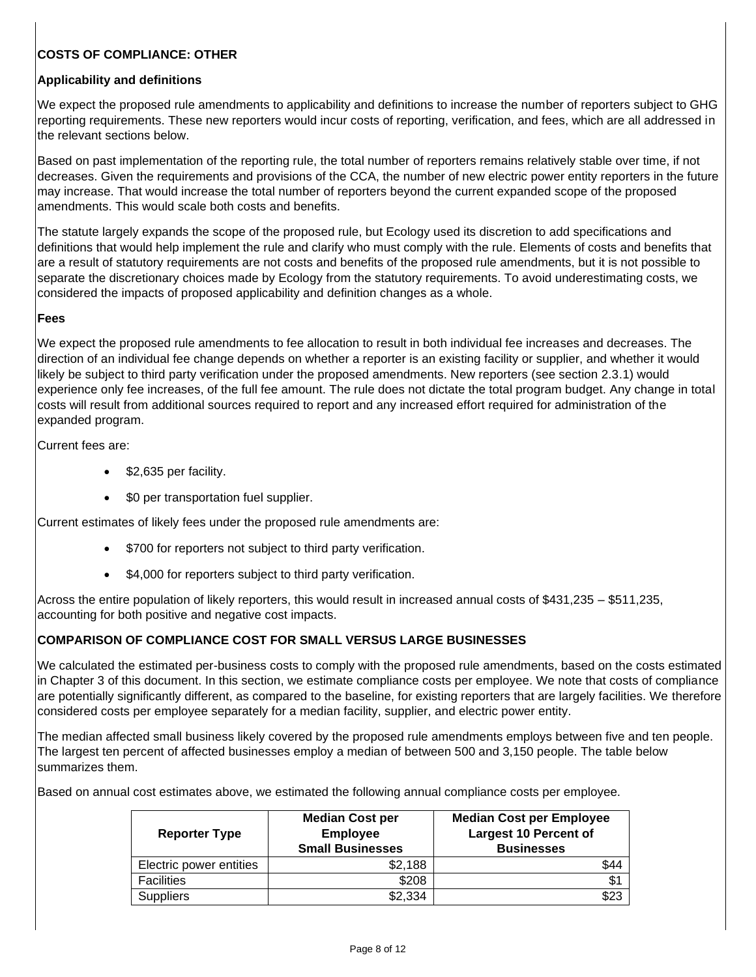# **COSTS OF COMPLIANCE: OTHER**

## **Applicability and definitions**

We expect the proposed rule amendments to applicability and definitions to increase the number of reporters subject to GHG reporting requirements. These new reporters would incur costs of reporting, verification, and fees, which are all addressed in the relevant sections below.

Based on past implementation of the reporting rule, the total number of reporters remains relatively stable over time, if not decreases. Given the requirements and provisions of the CCA, the number of new electric power entity reporters in the future may increase. That would increase the total number of reporters beyond the current expanded scope of the proposed amendments. This would scale both costs and benefits.

The statute largely expands the scope of the proposed rule, but Ecology used its discretion to add specifications and definitions that would help implement the rule and clarify who must comply with the rule. Elements of costs and benefits that are a result of statutory requirements are not costs and benefits of the proposed rule amendments, but it is not possible to separate the discretionary choices made by Ecology from the statutory requirements. To avoid underestimating costs, we considered the impacts of proposed applicability and definition changes as a whole.

### **Fees**

We expect the proposed rule amendments to fee allocation to result in both individual fee increases and decreases. The direction of an individual fee change depends on whether a reporter is an existing facility or supplier, and whether it would likely be subject to third party verification under the proposed amendments. New reporters (see section 2.3.1) would experience only fee increases, of the full fee amount. The rule does not dictate the total program budget. Any change in total costs will result from additional sources required to report and any increased effort required for administration of the expanded program.

Current fees are:

- \$2,635 per facility.
- \$0 per transportation fuel supplier.

Current estimates of likely fees under the proposed rule amendments are:

- \$700 for reporters not subject to third party verification.
- \$4,000 for reporters subject to third party verification.

Across the entire population of likely reporters, this would result in increased annual costs of \$431,235 – \$511,235, accounting for both positive and negative cost impacts.

## **COMPARISON OF COMPLIANCE COST FOR SMALL VERSUS LARGE BUSINESSES**

We calculated the estimated per-business costs to comply with the proposed rule amendments, based on the costs estimated in Chapter 3 of this document. In this section, we estimate compliance costs per employee. We note that costs of compliance are potentially significantly different, as compared to the baseline, for existing reporters that are largely facilities. We therefore considered costs per employee separately for a median facility, supplier, and electric power entity.

The median affected small business likely covered by the proposed rule amendments employs between five and ten people. The largest ten percent of affected businesses employ a median of between 500 and 3,150 people. The table below summarizes them.

Based on annual cost estimates above, we estimated the following annual compliance costs per employee.

| <b>Reporter Type</b>    | <b>Median Cost per</b><br><b>Employee</b><br><b>Small Businesses</b> | <b>Median Cost per Employee</b><br><b>Largest 10 Percent of</b><br><b>Businesses</b> |
|-------------------------|----------------------------------------------------------------------|--------------------------------------------------------------------------------------|
| Electric power entities | \$2,188                                                              | \$44                                                                                 |
| <b>Facilities</b>       | \$208                                                                | \$1                                                                                  |
| <b>Suppliers</b>        | \$2,334                                                              | \$23                                                                                 |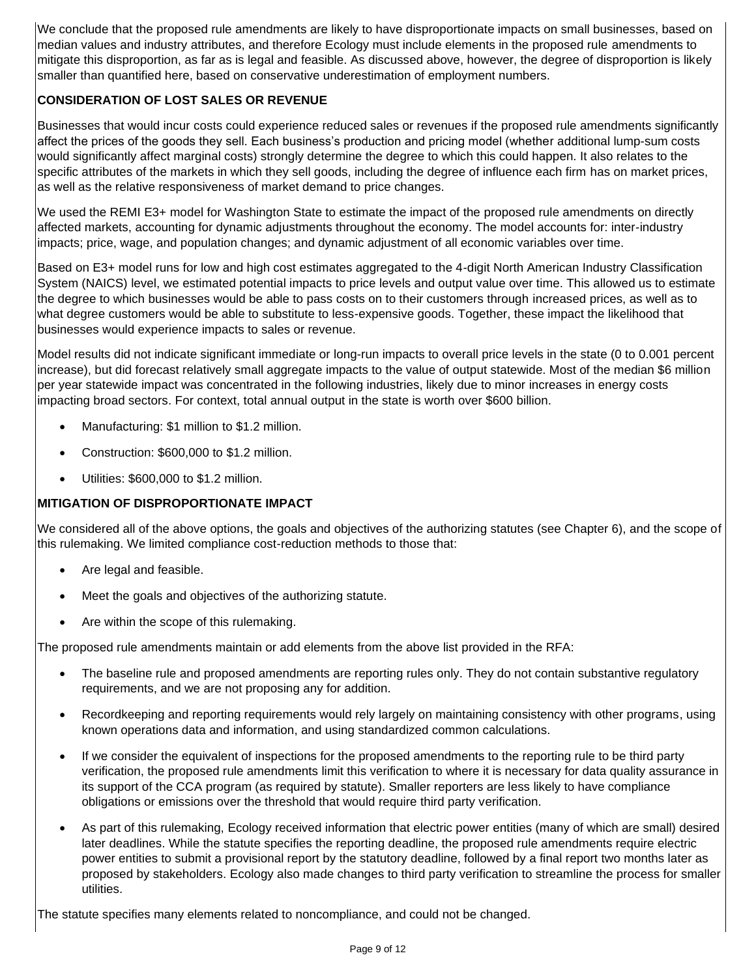We conclude that the proposed rule amendments are likely to have disproportionate impacts on small businesses, based on median values and industry attributes, and therefore Ecology must include elements in the proposed rule amendments to mitigate this disproportion, as far as is legal and feasible. As discussed above, however, the degree of disproportion is likely smaller than quantified here, based on conservative underestimation of employment numbers.

# **CONSIDERATION OF LOST SALES OR REVENUE**

Businesses that would incur costs could experience reduced sales or revenues if the proposed rule amendments significantly affect the prices of the goods they sell. Each business's production and pricing model (whether additional lump-sum costs would significantly affect marginal costs) strongly determine the degree to which this could happen. It also relates to the specific attributes of the markets in which they sell goods, including the degree of influence each firm has on market prices, as well as the relative responsiveness of market demand to price changes.

We used the REMI E3+ model for Washington State to estimate the impact of the proposed rule amendments on directly affected markets, accounting for dynamic adjustments throughout the economy. The model accounts for: inter-industry impacts; price, wage, and population changes; and dynamic adjustment of all economic variables over time.

Based on E3+ model runs for low and high cost estimates aggregated to the 4-digit North American Industry Classification System (NAICS) level, we estimated potential impacts to price levels and output value over time. This allowed us to estimate the degree to which businesses would be able to pass costs on to their customers through increased prices, as well as to what degree customers would be able to substitute to less-expensive goods. Together, these impact the likelihood that businesses would experience impacts to sales or revenue.

Model results did not indicate significant immediate or long-run impacts to overall price levels in the state (0 to 0.001 percent increase), but did forecast relatively small aggregate impacts to the value of output statewide. Most of the median \$6 million per year statewide impact was concentrated in the following industries, likely due to minor increases in energy costs impacting broad sectors. For context, total annual output in the state is worth over \$600 billion.

- Manufacturing: \$1 million to \$1.2 million.
- Construction: \$600,000 to \$1.2 million.
- Utilities: \$600,000 to \$1.2 million.

# **MITIGATION OF DISPROPORTIONATE IMPACT**

We considered all of the above options, the goals and objectives of the authorizing statutes (see Chapter 6), and the scope of this rulemaking. We limited compliance cost-reduction methods to those that:

- Are legal and feasible.
- Meet the goals and objectives of the authorizing statute.
- Are within the scope of this rulemaking.

The proposed rule amendments maintain or add elements from the above list provided in the RFA:

- The baseline rule and proposed amendments are reporting rules only. They do not contain substantive regulatory requirements, and we are not proposing any for addition.
- Recordkeeping and reporting requirements would rely largely on maintaining consistency with other programs, using known operations data and information, and using standardized common calculations.
- If we consider the equivalent of inspections for the proposed amendments to the reporting rule to be third party verification, the proposed rule amendments limit this verification to where it is necessary for data quality assurance in its support of the CCA program (as required by statute). Smaller reporters are less likely to have compliance obligations or emissions over the threshold that would require third party verification.
- As part of this rulemaking, Ecology received information that electric power entities (many of which are small) desired later deadlines. While the statute specifies the reporting deadline, the proposed rule amendments require electric power entities to submit a provisional report by the statutory deadline, followed by a final report two months later as proposed by stakeholders. Ecology also made changes to third party verification to streamline the process for smaller utilities.

The statute specifies many elements related to noncompliance, and could not be changed.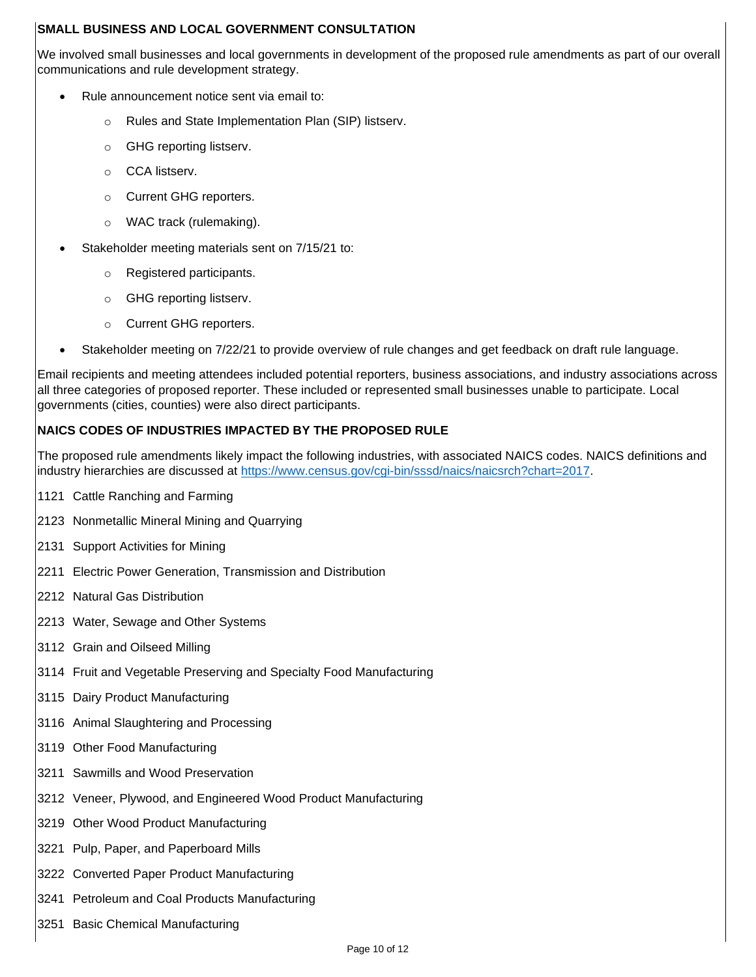## **SMALL BUSINESS AND LOCAL GOVERNMENT CONSULTATION**

We involved small businesses and local governments in development of the proposed rule amendments as part of our overall communications and rule development strategy.

- Rule announcement notice sent via email to:
	- o Rules and State Implementation Plan (SIP) listserv.
	- o GHG reporting listserv.
	- o CCA listserv.
	- o Current GHG reporters.
	- o WAC track (rulemaking).
- Stakeholder meeting materials sent on 7/15/21 to:
	- o Registered participants.
	- o GHG reporting listserv.
	- o Current GHG reporters.
	- Stakeholder meeting on 7/22/21 to provide overview of rule changes and get feedback on draft rule language.

Email recipients and meeting attendees included potential reporters, business associations, and industry associations across all three categories of proposed reporter. These included or represented small businesses unable to participate. Local governments (cities, counties) were also direct participants.

## **NAICS CODES OF INDUSTRIES IMPACTED BY THE PROPOSED RULE**

The proposed rule amendments likely impact the following industries, with associated NAICS codes. NAICS definitions and industry hierarchies are discussed at [https://www.census.gov/cgi-bin/sssd/naics/naicsrch?chart=2017.](https://www.census.gov/cgi-bin/sssd/naics/naicsrch?chart=2017)

- 1121 Cattle Ranching and Farming
- 2123 Nonmetallic Mineral Mining and Quarrying
- 2131 Support Activities for Mining
- 2211 Electric Power Generation, Transmission and Distribution
- 2212 Natural Gas Distribution
- 2213 Water, Sewage and Other Systems
- 3112 Grain and Oilseed Milling
- 3114 Fruit and Vegetable Preserving and Specialty Food Manufacturing
- 3115 Dairy Product Manufacturing
- 3116 Animal Slaughtering and Processing
- 3119 Other Food Manufacturing
- 3211 Sawmills and Wood Preservation
- 3212 Veneer, Plywood, and Engineered Wood Product Manufacturing
- 3219 Other Wood Product Manufacturing
- 3221 Pulp, Paper, and Paperboard Mills
- 3222 Converted Paper Product Manufacturing
- 3241 Petroleum and Coal Products Manufacturing
- 3251 Basic Chemical Manufacturing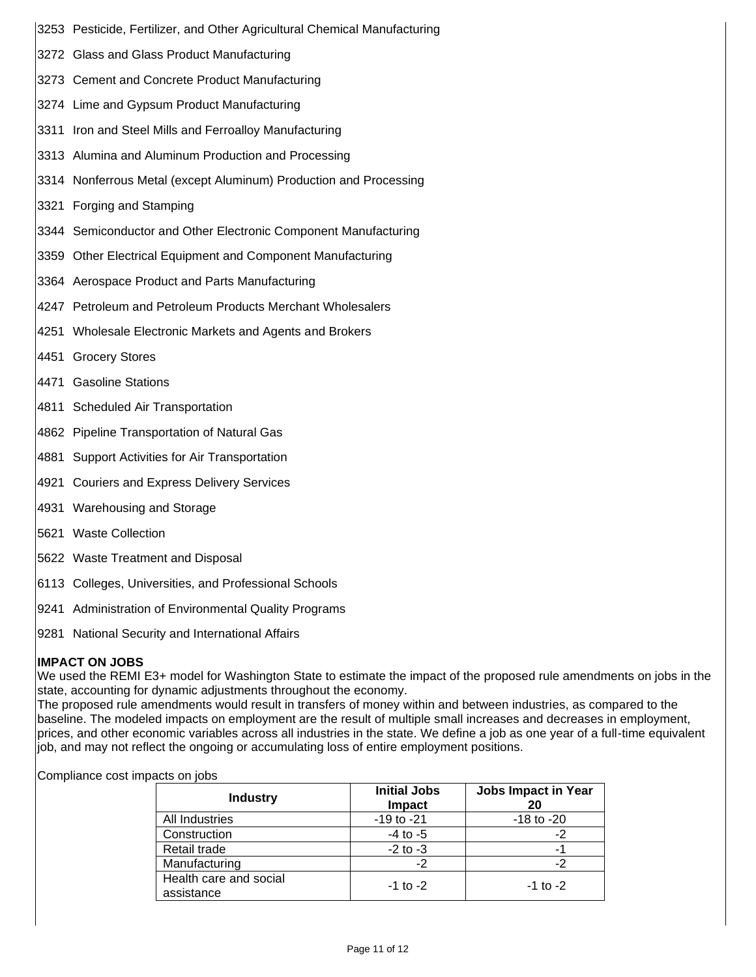- 3253 Pesticide, Fertilizer, and Other Agricultural Chemical Manufacturing
- 3272 Glass and Glass Product Manufacturing
- 3273 Cement and Concrete Product Manufacturing
- 3274 Lime and Gypsum Product Manufacturing
- 3311 Iron and Steel Mills and Ferroalloy Manufacturing
- 3313 Alumina and Aluminum Production and Processing
- 3314 Nonferrous Metal (except Aluminum) Production and Processing
- 3321 Forging and Stamping
- 3344 Semiconductor and Other Electronic Component Manufacturing
- 3359 Other Electrical Equipment and Component Manufacturing
- 3364 Aerospace Product and Parts Manufacturing
- 4247 Petroleum and Petroleum Products Merchant Wholesalers
- 4251 Wholesale Electronic Markets and Agents and Brokers
- 4451 Grocery Stores
- 4471 Gasoline Stations
- 4811 Scheduled Air Transportation
- 4862 Pipeline Transportation of Natural Gas
- 4881 Support Activities for Air Transportation
- 4921 Couriers and Express Delivery Services
- 4931 Warehousing and Storage
- 5621 Waste Collection
- 5622 Waste Treatment and Disposal
- 6113 Colleges, Universities, and Professional Schools
- 9241 Administration of Environmental Quality Programs
- 9281 National Security and International Affairs

# **IMPACT ON JOBS**

We used the REMI E3+ model for Washington State to estimate the impact of the proposed rule amendments on jobs in the state, accounting for dynamic adjustments throughout the economy.

The proposed rule amendments would result in transfers of money within and between industries, as compared to the baseline. The modeled impacts on employment are the result of multiple small increases and decreases in employment, prices, and other economic variables across all industries in the state. We define a job as one year of a full-time equivalent job, and may not reflect the ongoing or accumulating loss of entire employment positions.

Compliance cost impacts on jobs

| <b>Industry</b>                      | <b>Initial Jobs</b><br><b>Impact</b> | <b>Jobs Impact in Year</b><br>20 |
|--------------------------------------|--------------------------------------|----------------------------------|
| All Industries                       | $-19$ to $-21$                       | $-18$ to $-20$                   |
| Construction                         | $-4$ to $-5$                         |                                  |
| Retail trade                         | $-2$ to $-3$                         |                                  |
| Manufacturing                        | -2                                   |                                  |
| Health care and social<br>assistance | $-1$ to $-2$                         | $-1$ to $-2$                     |